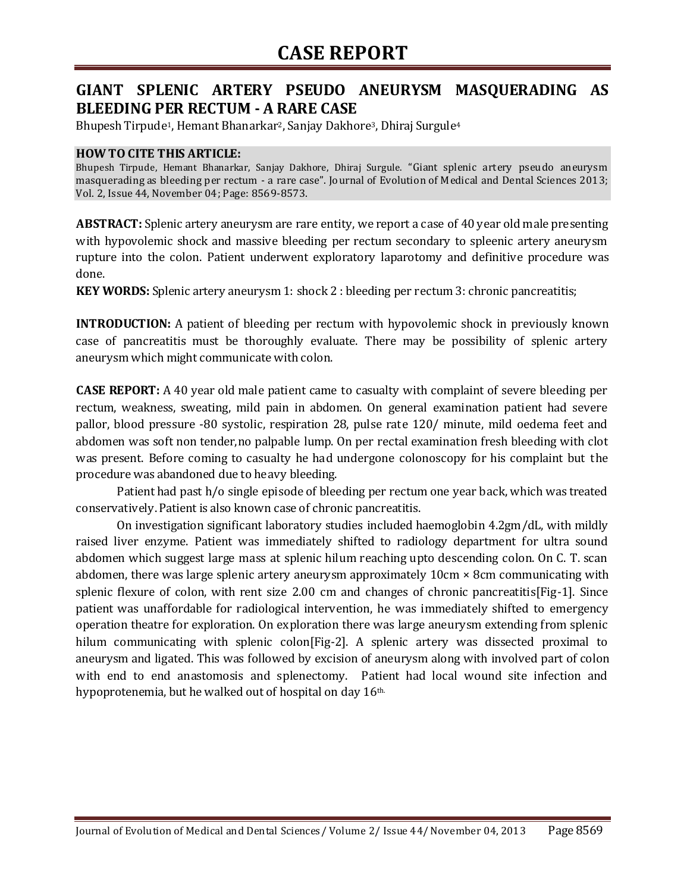## **GIANT SPLENIC ARTERY PSEUDO ANEURYSM MASQUERADING AS BLEEDING PER RECTUM - A RARE CASE**

Bhupesh Tirpude1, Hemant Bhanarkar2, Sanjay Dakhore3, Dhiraj Surgule<sup>4</sup>

### **HOW TO CITE THIS ARTICLE:**

Bhupesh Tirpude, Hemant Bhanarkar, Sanjay Dakhore, Dhiraj Surgule. "Giant splenic artery pseudo aneurysm masquerading as bleeding per rectum - a rare case". Journal of Evolution of Medical and Dental Sciences 2013; Vol. 2, Issue 44, November 04; Page: 8569-8573.

**ABSTRACT:** Splenic artery aneurysm are rare entity, we report a case of 40 year old male presenting with hypovolemic shock and massive bleeding per rectum secondary to spleenic artery aneurysm rupture into the colon. Patient underwent exploratory laparotomy and definitive procedure was done.

**KEY WORDS:** Splenic artery aneurysm 1: shock 2 : bleeding per rectum 3: chronic pancreatitis;

**INTRODUCTION:** A patient of bleeding per rectum with hypovolemic shock in previously known case of pancreatitis must be thoroughly evaluate. There may be possibility of splenic artery aneurysm which might communicate with colon.

**CASE REPORT:** A 40 year old male patient came to casualty with complaint of severe bleeding per rectum, weakness, sweating, mild pain in abdomen. On general examination patient had severe pallor, blood pressure -80 systolic, respiration 28, pulse rate 120/ minute, mild oedema feet and abdomen was soft non tender,no palpable lump. On per rectal examination fresh bleeding with clot was present. Before coming to casualty he had undergone colonoscopy for his complaint but the procedure was abandoned due to heavy bleeding.

Patient had past h/o single episode of bleeding per rectum one year back, which was treated conservatively. Patient is also known case of chronic pancreatitis.

On investigation significant laboratory studies included haemoglobin 4.2gm/dL, with mildly raised liver enzyme. Patient was immediately shifted to radiology department for ultra sound abdomen which suggest large mass at splenic hilum reaching upto descending colon. On C. T. scan abdomen, there was large splenic artery aneurysm approximately 10cm × 8cm communicating with splenic flexure of colon, with rent size 2.00 cm and changes of chronic pancreatitis[Fig-1]. Since patient was unaffordable for radiological intervention, he was immediately shifted to emergency operation theatre for exploration. On exploration there was large aneurysm extending from splenic hilum communicating with splenic colon[Fig-2]. A splenic artery was dissected proximal to aneurysm and ligated. This was followed by excision of aneurysm along with involved part of colon with end to end anastomosis and splenectomy. Patient had local wound site infection and hypoprotenemia, but he walked out of hospital on day 16<sup>th.</sup>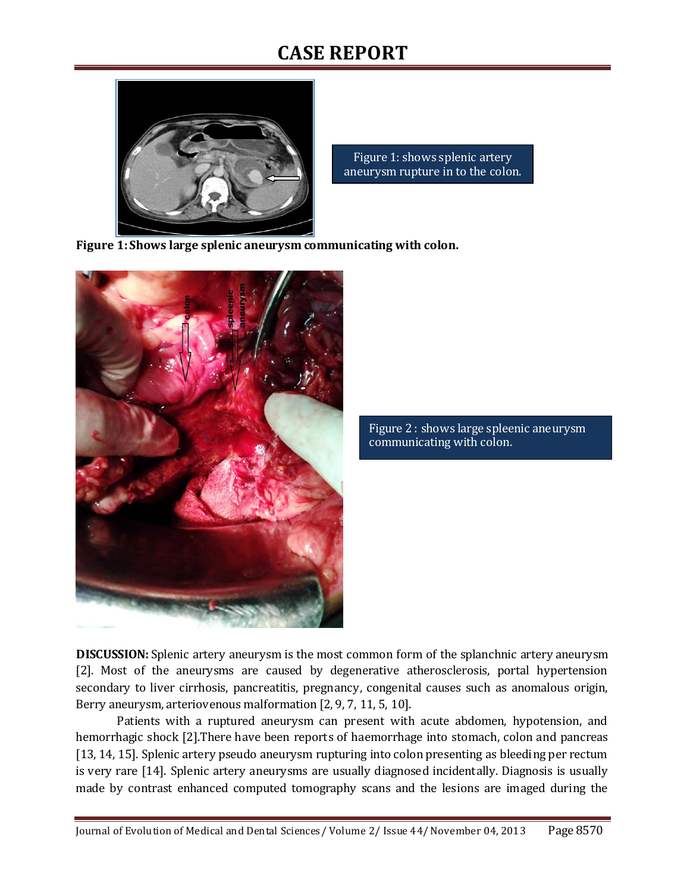# **CASE REPORT**



Figure 1: shows splenic artery aneurysm rupture in to the colon.

**Figure 1: Shows large splenic aneurysm communicating with colon.**



Figure 2 : shows large spleenic aneurysm communicating with colon.

**DISCUSSION:** Splenic artery aneurysm is the most common form of the splanchnic artery aneurysm [2]. Most of the aneurysms are caused by degenerative atherosclerosis, portal hypertension secondary to liver cirrhosis, pancreatitis, pregnancy, congenital causes such as anomalous origin, Berry aneurysm, arteriovenous malformation [2, 9, 7, 11, 5, 10].

Patients with a ruptured aneurysm can present with acute abdomen, hypotension, and hemorrhagic shock [2].There have been reports of haemorrhage into stomach, colon and pancreas [13, 14, 15]. Splenic artery pseudo aneurysm rupturing into colon presenting as bleeding per rectum is very rare [14]. Splenic artery aneurysms are usually diagnosed incidentally. Diagnosis is usually made by contrast enhanced computed tomography scans and the lesions are imaged during the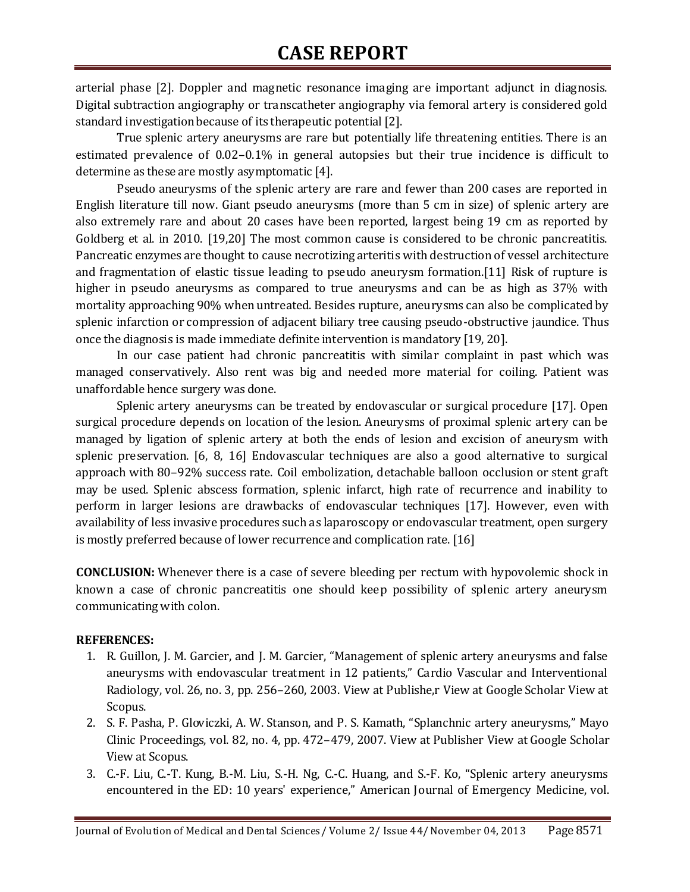# **CASE REPORT**

arterial phase [2]. Doppler and magnetic resonance imaging are important adjunct in diagnosis. Digital subtraction angiography or transcatheter angiography via femoral artery is considered gold standard investigation because of its therapeutic potential [2].

True splenic artery aneurysms are rare but potentially life threatening entities. There is an estimated prevalence of 0.02–0.1% in general autopsies but their true incidence is difficult to determine as these are mostly asymptomatic [4].

Pseudo aneurysms of the splenic artery are rare and fewer than 200 cases are reported in English literature till now. Giant pseudo aneurysms (more than 5 cm in size) of splenic artery are also extremely rare and about 20 cases have been reported, largest being 19 cm as reported by Goldberg et al. in 2010. [19,20] The most common cause is considered to be chronic pancreatitis. Pancreatic enzymes are thought to cause necrotizing arteritis with destruction of vessel architecture and fragmentation of elastic tissue leading to pseudo aneurysm formation.[11] Risk of rupture is higher in pseudo aneurysms as compared to true aneurysms and can be as high as 37% with mortality approaching 90% when untreated. Besides rupture, aneurysms can also be complicated by splenic infarction or compression of adjacent biliary tree causing pseudo-obstructive jaundice. Thus once the diagnosis is made immediate definite intervention is mandatory [19, 20].

In our case patient had chronic pancreatitis with similar complaint in past which was managed conservatively. Also rent was big and needed more material for coiling. Patient was unaffordable hence surgery was done.

Splenic artery aneurysms can be treated by endovascular or surgical procedure [17]. Open surgical procedure depends on location of the lesion. Aneurysms of proximal splenic artery can be managed by ligation of splenic artery at both the ends of lesion and excision of aneurysm with splenic preservation. [6, 8, 16] Endovascular techniques are also a good alternative to surgical approach with 80–92% success rate. Coil embolization, detachable balloon occlusion or stent graft may be used. Splenic abscess formation, splenic infarct, high rate of recurrence and inability to perform in larger lesions are drawbacks of endovascular techniques [17]. However, even with availability of less invasive procedures such as laparoscopy or endovascular treatment, open surgery is mostly preferred because of lower recurrence and complication rate. [16]

**CONCLUSION:** Whenever there is a case of severe bleeding per rectum with hypovolemic shock in known a case of chronic pancreatitis one should keep possibility of splenic artery aneurysm communicating with colon.

### **REFERENCES:**

- 1. R. Guillon, J. M. Garcier, and J. M. Garcier, "Management of splenic artery aneurysms and false aneurysms with endovascular treatment in 12 patients," Cardio Vascular and Interventional Radiology, vol. 26, no. 3, pp. 256–260, 2003. [View at Publishe,r](http://dx.doi.org/10.1007/s00270-003-1948-y) [View at Google Scholar](http://scholar.google.com/scholar?q=http://dx.doi.org/10.1007/s00270-003-1948-y) [View at](http://www.scopus.com/scopus/inward/record.url?eid=2-s2.0-0041929464&partnerID=K84CvKBR&rel=3.0.0&md5=fc17a7f6f60dc430b88d355fdedb53c1)  [Scopus.](http://www.scopus.com/scopus/inward/record.url?eid=2-s2.0-0041929464&partnerID=K84CvKBR&rel=3.0.0&md5=fc17a7f6f60dc430b88d355fdedb53c1)
- 2. S. F. Pasha, P. Gloviczki, A. W. Stanson, and P. S. Kamath, "Splanchnic artery aneurysms," Mayo Clinic Proceedings, vol. 82, no. 4, pp. 472–479, 2007[. View at Publisher](http://dx.doi.org/10.4065/82.4.472) [View at Google Scholar](http://scholar.google.com/scholar?q=http://dx.doi.org/10.4065/82.4.472) [View at Scopus.](http://www.scopus.com/scopus/inward/record.url?eid=2-s2.0-34047231828&partnerID=K84CvKBR&rel=3.0.0&md5=d4e59f9eec26f5aeaf2c673a4b6743ca)
- 3. C.-F. Liu, C.-T. Kung, B.-M. Liu, S.-H. Ng, C.-C. Huang, and S.-F. Ko, "Splenic artery aneurysms encountered in the ED: 10 years' experience," American Journal of Emergency Medicine, vol.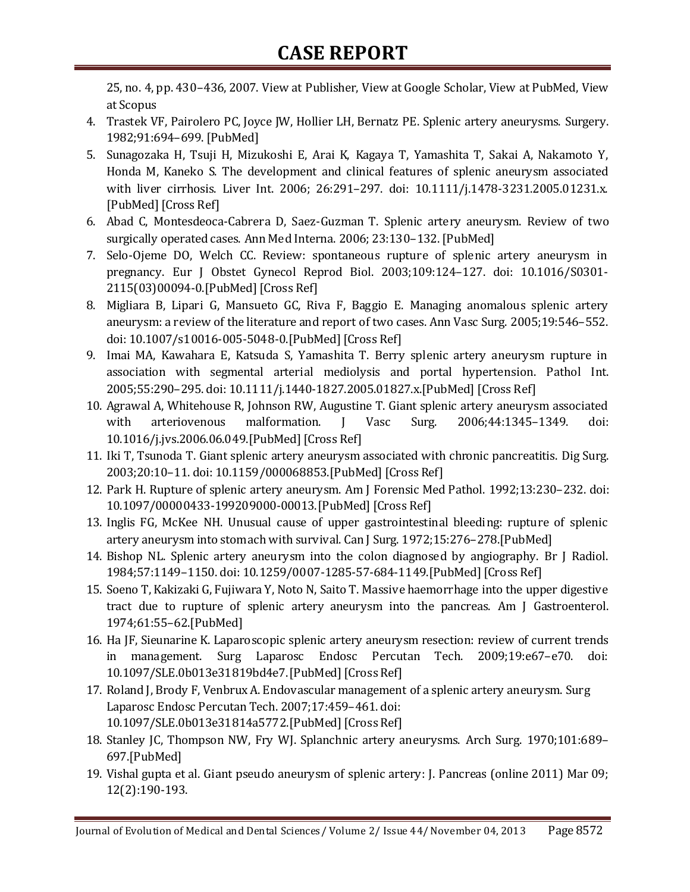25, no. 4, pp. 430–436, 2007. [View at Publisher,](http://dx.doi.org/10.1016/j.ajem.2006.08.017) [View at Google Scholar,](http://scholar.google.com/scholar?q=http://dx.doi.org/10.1016/j.ajem.2006.08.017) [View at PubMed,](http://www.ncbi.nlm.nih.gov/pubmed/17499662?dopt=AbstractPlus) [View](http://www.scopus.com/scopus/inward/record.url?eid=2-s2.0-34248168163&partnerID=K84CvKBR&rel=3.0.0&md5=0b3500c864935fa3c709ffccdcd76dab)  [at Scopus](http://www.scopus.com/scopus/inward/record.url?eid=2-s2.0-34248168163&partnerID=K84CvKBR&rel=3.0.0&md5=0b3500c864935fa3c709ffccdcd76dab)

- 4. Trastek VF, Pairolero PC, Joyce JW, Hollier LH, Bernatz PE. Splenic artery aneurysms. Surgery. 1982;91:694–699. [\[PubMed\]](http://www.ncbi.nlm.nih.gov/pubmed/7079972)
- 5. Sunagozaka H, Tsuji H, Mizukoshi E, Arai K, Kagaya T, Yamashita T, Sakai A, Nakamoto Y, Honda M, Kaneko S. The development and clinical features of splenic aneurysm associated with liver cirrhosis. Liver Int. 2006; 26:291–297. doi: 10.1111/j.1478-3231.2005.01231.x. [\[PubMed\]](http://www.ncbi.nlm.nih.gov/pubmed/16584390) [\[Cross Ref\]](http://dx.doi.org/10.1111/j.1478-3231.2005.01231.x)
- 6. Abad C, Montesdeoca-Cabrera D, Saez-Guzman T. Splenic artery aneurysm. Review of two surgically operated cases. Ann Med Interna. 2006; 23:130–132. [\[PubMed\]](http://www.ncbi.nlm.nih.gov/pubmed/16737435)
- 7. Selo-Ojeme DO, Welch CC. Review: spontaneous rupture of splenic artery aneurysm in pregnancy. Eur J Obstet Gynecol Reprod Biol. 2003;109:124–127. doi: 10.1016/S0301- 2115(03)00094-0.[\[PubMed\]](http://www.ncbi.nlm.nih.gov/pubmed/12860326) [\[Cross Ref\]](http://dx.doi.org/10.1016/S0301-2115(03)00094-0)
- 8. Migliara B, Lipari G, Mansueto GC, Riva F, Baggio E. Managing anomalous splenic artery aneurysm: a review of the literature and report of two cases. Ann Vasc Surg. 2005;19:546–552. doi: 10.1007/s10016-005-5048-0.[\[PubMed\]](http://www.ncbi.nlm.nih.gov/pubmed/15981114) [\[Cross Ref\]](http://dx.doi.org/10.1007/s10016-005-5048-0)
- 9. Imai MA, Kawahara E, Katsuda S, Yamashita T. Berry splenic artery aneurysm rupture in association with segmental arterial mediolysis and portal hypertension. Pathol Int. 2005;55:290–295. doi: 10.1111/j.1440-1827.2005.01827.x.[\[PubMed\]](http://www.ncbi.nlm.nih.gov/pubmed/15871728) [\[Cross Ref\]](http://dx.doi.org/10.1111/j.1440-1827.2005.01827.x)
- 10. Agrawal A, Whitehouse R, Johnson RW, Augustine T. Giant splenic artery aneurysm associated with arteriovenous malformation. J Vasc Surg. 2006;44:1345-1349. doi: 10.1016/j.jvs.2006.06.049.[\[PubMed\]](http://www.ncbi.nlm.nih.gov/pubmed/17145440) [\[Cross Ref\]](http://dx.doi.org/10.1016/j.jvs.2006.06.049)
- 11. Iki T, Tsunoda T. Giant splenic artery aneurysm associated with chronic pancreatitis. Dig Surg. 2003;20:10–11. doi: 10.1159/000068853.[\[PubMed\]](http://www.ncbi.nlm.nih.gov/pubmed/12637798) [\[Cross Ref\]](http://dx.doi.org/10.1159/000068853)
- 12. Park H. Rupture of splenic artery aneurysm. Am J Forensic Med Pathol. 1992;13:230–232. doi: 10.1097/00000433-199209000-00013.[\[PubMed\]](http://www.ncbi.nlm.nih.gov/pubmed/1476129) [\[Cross Ref\]](http://dx.doi.org/10.1097/00000433-199209000-00013)
- 13. Inglis FG, McKee NH. Unusual cause of upper gastrointestinal bleeding: rupture of splenic artery aneurysm into stomach with survival. Can J Surg. 1972;15:276–278.[\[PubMed\]](http://www.ncbi.nlm.nih.gov/pubmed/4537858)
- 14. Bishop NL. Splenic artery aneurysm into the colon diagnosed by angiography. Br J Radiol. 1984;57:1149–1150. doi: 10.1259/0007-1285-57-684-1149.[\[PubMed\]](http://www.ncbi.nlm.nih.gov/pubmed/6334541) [\[Cross Ref\]](http://dx.doi.org/10.1259/0007-1285-57-684-1149)
- 15. Soeno T, Kakizaki G, Fujiwara Y, Noto N, Saito T. Massive haemorrhage into the upper digestive tract due to rupture of splenic artery aneurysm into the pancreas. Am J Gastroenterol. 1974;61:55–62.[\[PubMed\]](http://www.ncbi.nlm.nih.gov/pubmed/4544768)
- 16. Ha JF, Sieunarine K. Laparoscopic splenic artery aneurysm resection: review of current trends in management. Surg Laparosc Endosc Percutan Tech. 2009;19:e67–e70. doi: 10.1097/SLE.0b013e31819bd4e7.[\[PubMed\]](http://www.ncbi.nlm.nih.gov/pubmed/19390269) [\[Cross Ref\]](http://dx.doi.org/10.1097/SLE.0b013e31819bd4e7)
- 17. Roland J, Brody F, Venbrux A. Endovascular management of a splenic artery aneurysm. Surg Laparosc Endosc Percutan Tech. 2007;17:459–461. doi: 10.1097/SLE.0b013e31814a5772.[\[PubMed\]](http://www.ncbi.nlm.nih.gov/pubmed/18049416) [\[Cross Ref\]](http://dx.doi.org/10.1097/SLE.0b013e31814a5772)
- 18. Stanley JC, Thompson NW, Fry WJ. Splanchnic artery aneurysms. Arch Surg. 1970;101:689– 697.[\[PubMed\]](http://www.ncbi.nlm.nih.gov/pubmed/5489293)
- 19. Vishal gupta et al. Giant pseudo aneurysm of splenic artery: J. Pancreas (online 2011) Mar 09; 12(2):190-193.

Journal of Evolution of Medical and Dental Sciences / Volume 2/ Issue 44/ November 04, 2013 Page 8572